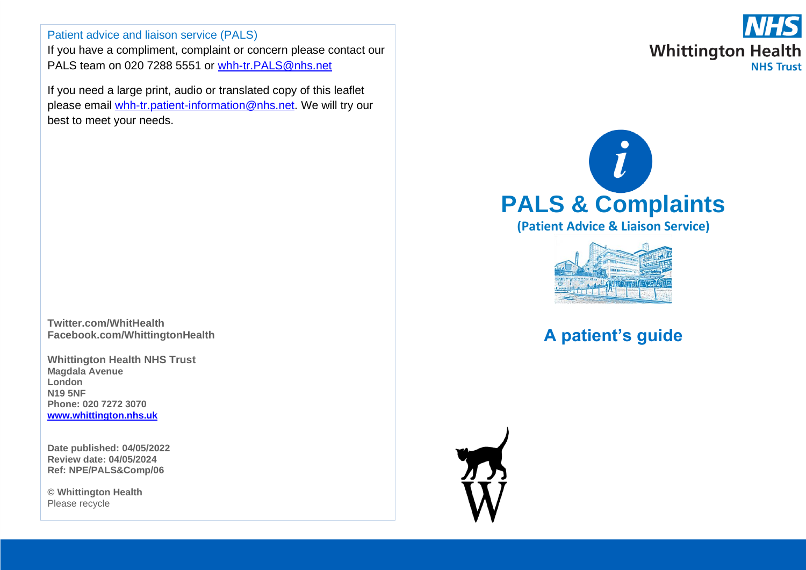Patient advice and liaison service (PALS)

If you have a compliment, complaint or concern please contact our PALS team on 020 7288 5551 or whh-tr. PALS@nhs.net

If you need a large print, audio or translated copy of this leaflet please email [whh-tr.patient-information@nhs.net.](mailto:whh-tr.patient-information@nhs.net) We will try our best to meet your needs.

**Twitter.com/WhitHealth Facebook.com/WhittingtonHealth**

**Whittington Health NHS Trust Magdala Avenue London N19 5NF Phone: 020 7272 3070 [www.whittington.nhs.uk](http://www.whittington.nhs.uk/)**

**Date published: 04/05/2022 Review date: 04/05/2024 Ref: NPE/PALS&Comp/06**

**© Whittington Health** Please recycle







# **A patient's guide**

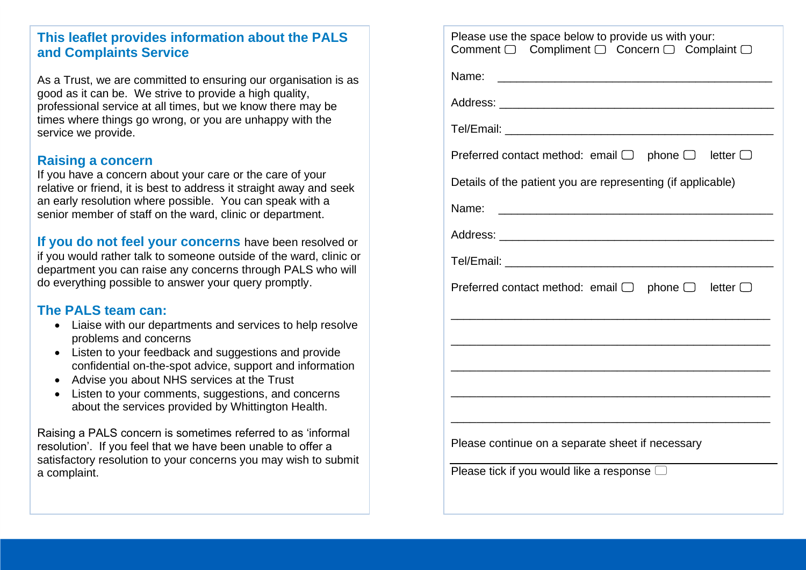### **This leaflet provides information about the PALS and Complaints Service**

As a Trust, we are committed to ensuring our organisation is as good as it can be. We strive to provide a high quality, professional service at all times, but we know there may be times where things go wrong, or you are unhappy with the service we provide.

### **Raising a concern**

If you have a concern about your care or the care of your relative or friend, it is best to address it straight away and seek an early resolution where possible. You can speak with a senior member of staff on the ward, clinic or department.

**If you do not feel your concerns** have been resolved or if you would rather talk to someone outside of the ward, clinic or department you can raise any concerns through PALS who will do everything possible to answer your query promptly.

### **The PALS team can:**

- Liaise with our departments and services to help resolve problems and concerns
- Listen to your feedback and suggestions and provide confidential on-the-spot advice, support and information
- Advise you about NHS services at the Trust
- Listen to your comments, suggestions, and concerns about the services provided by Whittington Health.

Raising a PALS concern is sometimes referred to as 'informal resolution'. If you feel that we have been unable to offer a satisfactory resolution to your concerns you may wish to submit a complaint.

| Please use the space below to provide us with your:<br>Comment □ Compliment □ Concern □ Complaint □                            |  |  |
|--------------------------------------------------------------------------------------------------------------------------------|--|--|
| Name:<br><u> 2000 - Jan James James James James James James James James James James James James James James James James Ja</u> |  |  |
|                                                                                                                                |  |  |
|                                                                                                                                |  |  |
| Preferred contact method: email $\Box$ phone $\Box$ letter $\Box$                                                              |  |  |
| Details of the patient you are representing (if applicable)                                                                    |  |  |
| Name:                                                                                                                          |  |  |
|                                                                                                                                |  |  |
|                                                                                                                                |  |  |
| Preferred contact method: email $\Box$ phone $\Box$ letter $\Box$                                                              |  |  |
|                                                                                                                                |  |  |
|                                                                                                                                |  |  |
|                                                                                                                                |  |  |
|                                                                                                                                |  |  |
| Please continue on a separate sheet if necessary                                                                               |  |  |
| Please tick if you would like a response $\Box$                                                                                |  |  |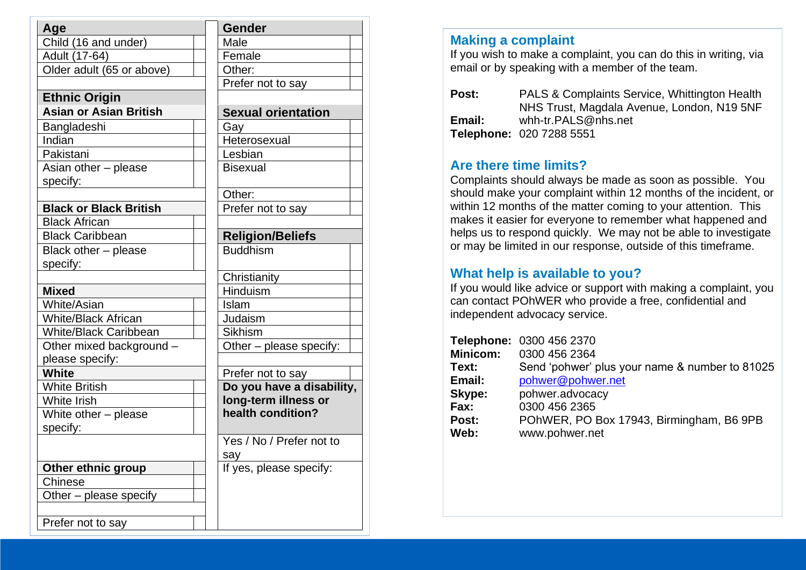| Age                              | <b>Gender</b>             |
|----------------------------------|---------------------------|
| Child (16 and under)             | Male                      |
| Adult (17-64)                    | Female                    |
| Older adult (65 or above)        | Other:                    |
|                                  | Prefer not to say         |
| <b>Ethnic Origin</b>             |                           |
| <b>Asian or Asian British</b>    | <b>Sexual orientation</b> |
| Bangladeshi                      | Gav                       |
| Indian                           | Heterosexual              |
| Pakistani                        | Lesbian                   |
| Asian other - please<br>specify: | <b>Bisexual</b>           |
|                                  | Other:                    |
| <b>Black or Black British</b>    | Prefer not to say         |
| <b>Black African</b>             |                           |
| <b>Black Caribbean</b>           | <b>Religion/Beliefs</b>   |
| Black other - please             | <b>Buddhism</b>           |
| specify:                         |                           |
|                                  | Christianity              |
| <b>Mixed</b>                     | Hinduism                  |
| White/Asian                      | Islam                     |
| <b>White/Black African</b>       | Judaism                   |
| <b>White/Black Caribbean</b>     | <b>Sikhism</b>            |
| Other mixed background -         | Other – please specify:   |
| please specify:                  |                           |
| <b>White</b>                     | Prefer not to say         |
| <b>White British</b>             | Do you have a disability, |
| <b>White Irish</b>               | long-term illness or      |
| White other – please             | health condition?         |
| specify:                         |                           |
|                                  | Yes / No / Prefer not to  |
|                                  | say                       |
| Other ethnic group               | If yes, please specify:   |
| Chinese                          |                           |
| Other – please specify           |                           |
| Prefer not to say                |                           |
|                                  |                           |

### **Making a complaint**

If you wish to make a complaint, you can do this in writing, via email or by speaking with a member of the team.

| <b>Post:</b> | PALS & Complaints Service, Whittington Health |
|--------------|-----------------------------------------------|
|              | NHS Trust, Magdala Avenue, London, N19 5NF    |
| Email:       | whh-tr.PALS@nhs.net                           |
|              | Telephone: 020 7288 5551                      |

### **Are there time limits?**

Complaints should always be made as soon as possible. You should make your complaint within 12 months of the incident, or within 12 months of the matter coming to your attention. This makes it easier for everyone to remember what happened and helps us to respond quickly. We may not be able to investigate or may be limited in our response, outside of this timeframe.

# **What help is available to you?**

If you would like advice or support with making a complaint, you can contact POhWER who provide a free, confidential and independent advocacy service.

|          | Telephone: 0300 456 2370                       |
|----------|------------------------------------------------|
|          |                                                |
| Minicom: | 0300 456 2364                                  |
| Text:    | Send 'pohwer' plus your name & number to 81025 |
| Email:   | pohwer@pohwer.net                              |
| Skype:   | pohwer.advocacy                                |
| Fax:     | 0300 456 2365                                  |
| Post:    | POhWER, PO Box 17943, Birmingham, B6 9PB       |
| Web:     | www.pohwer.net                                 |
|          |                                                |